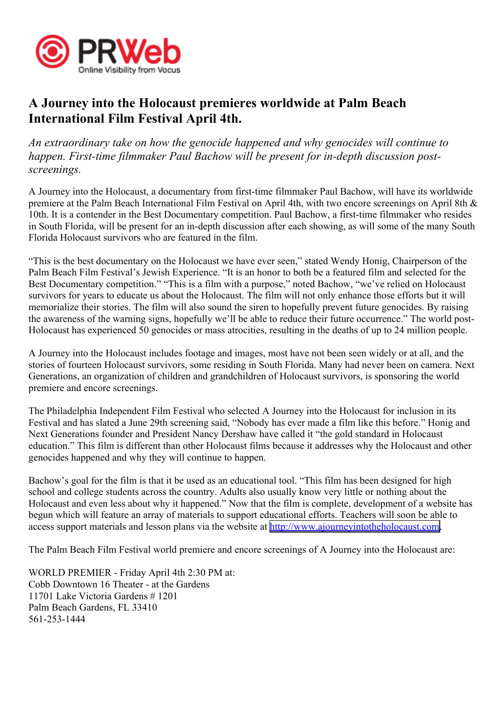

## **A Journey into the Holocaust premieres worldwide at Palm Beach International Film Festival April 4th.**

*An extraordinary take on how the genocide happened and why genocides will continue to happen. First-time filmmaker Paul Bachow will be presen<sup>t</sup> for in-depth discussion postscreenings.*

A Journey into the Holocaust, <sup>a</sup> documentary from first-time filmmaker Paul Bachow, will have its worldwide premiere at the Palm Beach International Film Festival on April 4th, with two encore screenings on April 8th & 10th. It is <sup>a</sup> contender in the Best Documentary competition. Paul Bachow, <sup>a</sup> first-time filmmaker who resides in South Florida, will be presen<sup>t</sup> for an in-depth discussion after each showing, as will some of the many South Florida Holocaust survivors who are featured in the film.

"This is the best documentary on the Holocaust we have ever seen," stated Wendy Honig, Chairperson of the Palm Beach Film Festival's Jewish Experience. "It is an honor to both be <sup>a</sup> featured film and selected for the Best Documentary competition." "This is a film with a purpose," noted Bachow, "we've relied on Holocaust survivors for years to educate us about the Holocaust. The film will not only enhance those efforts but it will memorialize their stories. The film will also sound the siren to hopefully preven<sup>t</sup> future genocides. By raising the awareness of the warning signs, hopefully we'll be able to reduce their future occurrence." The world post-Holocaust has experienced 50 genocides or mass atrocities, resulting in the deaths of up to 24 million people.

A Journey into the Holocaust includes footage and images, most have not been seen widely or at all, and the stories of fourteen Holocaust survivors, some residing in South Florida. Many had never been on camera. Next Generations, an organization of children and grandchildren of Holocaust survivors, is sponsoring the world premiere and encore screenings.

The Philadelphia Independent Film Festival who selected A Journey into the Holocaust for inclusion in its Festival and has slated <sup>a</sup> June 29th screening said, "Nobody has ever made <sup>a</sup> film like this before." Honig and Next Generations founder and President Nancy Dershaw have called it "the gold standard in Holocaust education." This film is different than other Holocaust films because it addresses why the Holocaust and other genocides happened and why they will continue to happen.

Bachow's goal for the film is that it be used as an educational tool. "This film has been designed for high school and college students across the country. Adults also usually know very little or nothing about the Holocaust and even less about why it happened." Now that the film is complete, development of <sup>a</sup> website has begun which will feature an array of materials to suppor<sup>t</sup> educational efforts. Teachers will soon be able to access suppor<sup>t</sup> materials and lesson plans via the website at <http://www.ajourneyintotheholocaust.com>.

The Palm Beach Film Festival world premiere and encore screenings of A Journey into the Holocaust are:

WORLD PREMIER - Friday April 4th 2:30 PM at: Cobb Downtown 16 Theater - at the Gardens 11701 Lake Victoria Gardens # 1201 Palm Beach Gardens, FL 33410 561-253-1444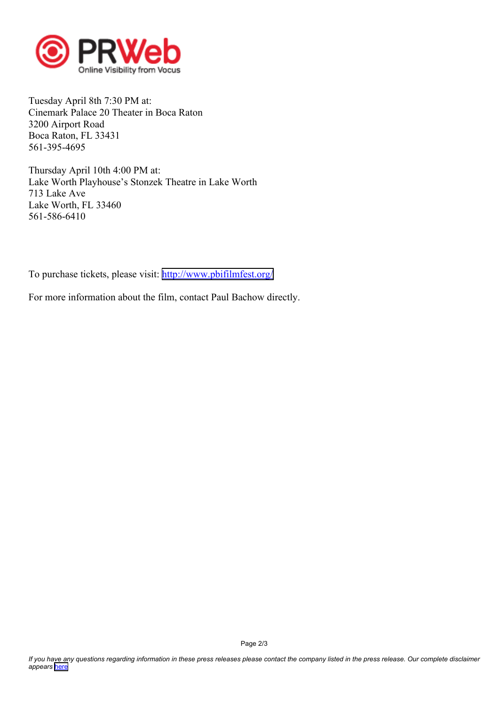

Tuesday April 8th 7:30 PM at: Cinemark Palace 20 Theater in Boca Raton 3200 Airport Road Boca Raton, FL 33431 561-395-4695

Thursday April 10th 4:00 PM at: Lake Worth Playhouse's Stonzek Theatre in Lake Worth 713 Lake Ave Lake Worth, FL 33460 561-586-6410

To purchase tickets, please visit: <http://www.pbifilmfest.org/>

For more information about the film, contact Paul Bachow directly.